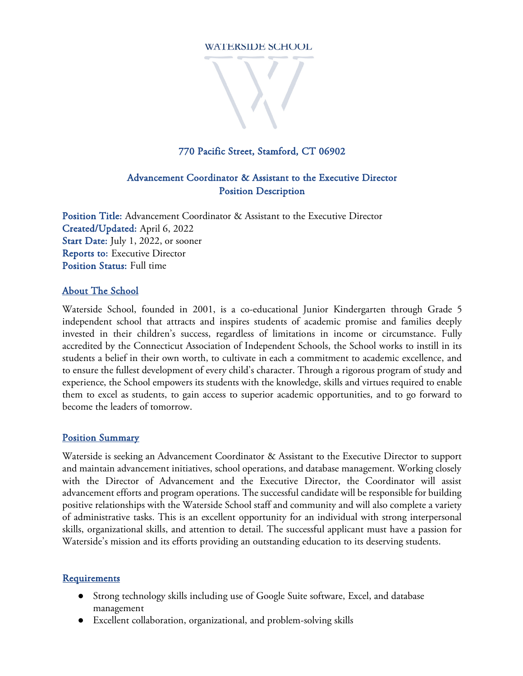#### **WATERSIDE SCHOOL**



### 770 Pacific Street, Stamford, CT 06902

## Advancement Coordinator & Assistant to the Executive Director Position Description

Position Title: Advancement Coordinator & Assistant to the Executive Director Created/Updated: April 6, 2022 Start Date: July 1, 2022, or sooner Reports to: Executive Director Position Status: Full time

#### About The School

Waterside School, founded in 2001, is a co-educational Junior Kindergarten through Grade 5 independent school that attracts and inspires students of academic promise and families deeply invested in their children's success, regardless of limitations in income or circumstance. Fully accredited by the Connecticut Association of Independent Schools, the School works to instill in its students a belief in their own worth, to cultivate in each a commitment to academic excellence, and to ensure the fullest development of every child's character. Through a rigorous program of study and experience, the School empowers its students with the knowledge, skills and virtues required to enable them to excel as students, to gain access to superior academic opportunities, and to go forward to become the leaders of tomorrow.

#### Position Summary

Waterside is seeking an Advancement Coordinator & Assistant to the Executive Director to support and maintain advancement initiatives, school operations, and database management. Working closely with the Director of Advancement and the Executive Director, the Coordinator will assist advancement efforts and program operations. The successful candidate will be responsible for building positive relationships with the Waterside School staff and community and will also complete a variety of administrative tasks. This is an excellent opportunity for an individual with strong interpersonal skills, organizational skills, and attention to detail. The successful applicant must have a passion for Waterside's mission and its efforts providing an outstanding education to its deserving students.

#### **Requirements**

- Strong technology skills including use of Google Suite software, Excel, and database management
- Excellent collaboration, organizational, and problem-solving skills